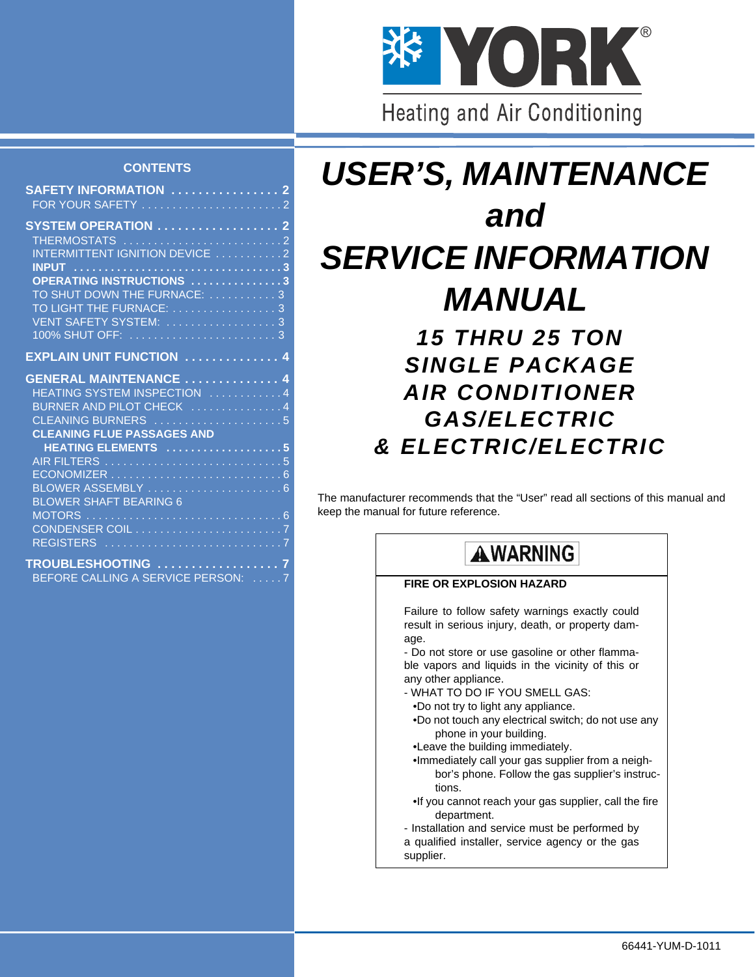

#### **CONTENTS**

| SAFETY INFORMATION  2             |  |
|-----------------------------------|--|
|                                   |  |
| SYSTEM OPERATION  2               |  |
| THERMOSTATS 2                     |  |
| INTERMITTENT IGNITION DEVICE 2    |  |
|                                   |  |
| OPERATING INSTRUCTIONS 3          |  |
| TO SHUT DOWN THE FURNACE: 3       |  |
| TO LIGHT THE FURNACE: 3           |  |
|                                   |  |
|                                   |  |
| <b>EXPLAIN UNIT FUNCTION  4</b>   |  |
|                                   |  |
| <b>GENERAL MAINTENANCE  4</b>     |  |
| HEATING SYSTEM INSPECTION 4       |  |
| BURNER AND PILOT CHECK  4         |  |
| CLEANING BURNERS 5                |  |
| <b>CLEANING FLUE PASSAGES AND</b> |  |
| HEATING ELEMENTS 5                |  |
|                                   |  |
|                                   |  |
| <b>BLOWER SHAFT BEARING 6</b>     |  |
|                                   |  |
| CONDENSER COIL 7                  |  |
|                                   |  |
|                                   |  |
| TROUBLESHOOTING 7                 |  |

BEFORE CALLING A SERVICE PERSON:

# *USER'S, MAINTENANCE and SERVICE INFORMATION MANUAL*

*15 THRU 25 TON SINGLE PACKAGE AIR CONDITIONER GAS/ELECTRIC & ELECTRIC/ELECTRIC*

The manufacturer recommends that the "User" read all sections of this manual and keep the manual for future reference.

# **AWARNING**

#### **FIRE OR EXPLOSION HAZARD**

Failure to follow safety warnings exactly could result in serious injury, death, or property damage.

- Do not store or use gasoline or other flammable vapors and liquids in the vicinity of this or any other appliance.

- WHAT TO DO IF YOU SMELL GAS:
- •Do not try to light any appliance.
- •Do not touch any electrical switch; do not use any phone in your building.
- •Leave the building immediately.
- •Immediately call your gas supplier from a neighbor's phone. Follow the gas supplier's instructions.
- •If you cannot reach your gas supplier, call the fire department.
- Installation and service must be performed by
- a qualified installer, service agency or the gas

supplier.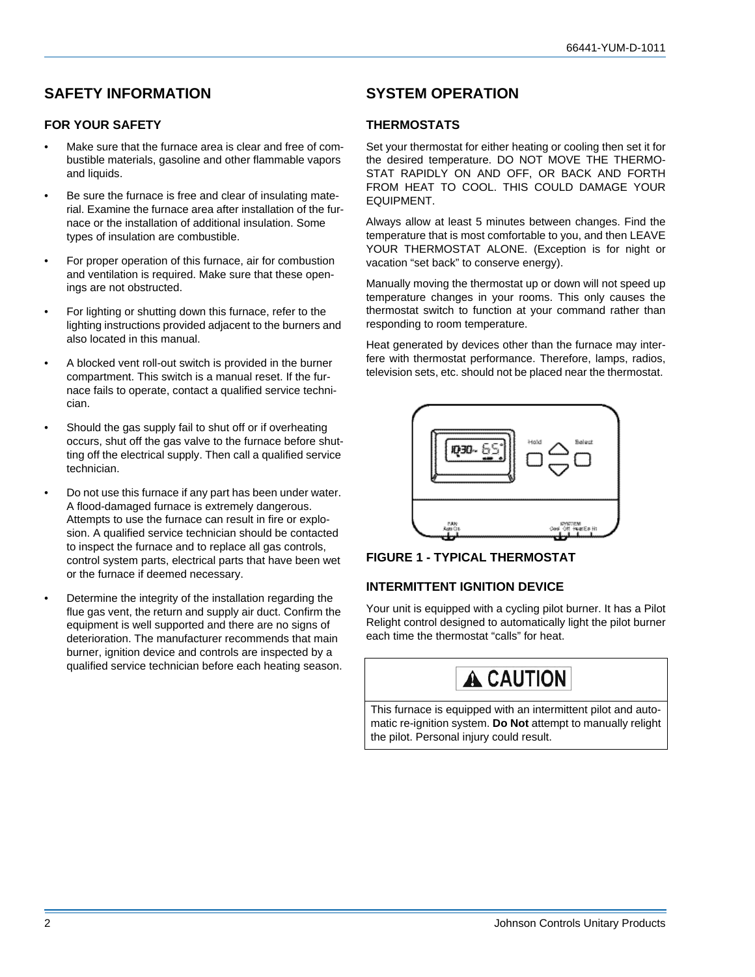### <span id="page-1-0"></span>**SAFETY INFORMATION**

#### <span id="page-1-1"></span>**FOR YOUR SAFETY**

- Make sure that the furnace area is clear and free of combustible materials, gasoline and other flammable vapors and liquids.
- Be sure the furnace is free and clear of insulating material. Examine the furnace area after installation of the furnace or the installation of additional insulation. Some types of insulation are combustible.
- For proper operation of this furnace, air for combustion and ventilation is required. Make sure that these openings are not obstructed.
- For lighting or shutting down this furnace, refer to the lighting instructions provided adjacent to the burners and also located in this manual.
- A blocked vent roll-out switch is provided in the burner compartment. This switch is a manual reset. If the furnace fails to operate, contact a qualified service technician.
- Should the gas supply fail to shut off or if overheating occurs, shut off the gas valve to the furnace before shutting off the electrical supply. Then call a qualified service technician.
- Do not use this furnace if any part has been under water. A flood-damaged furnace is extremely dangerous. Attempts to use the furnace can result in fire or explosion. A qualified service technician should be contacted to inspect the furnace and to replace all gas controls, control system parts, electrical parts that have been wet or the furnace if deemed necessary.
- Determine the integrity of the installation regarding the flue gas vent, the return and supply air duct. Confirm the equipment is well supported and there are no signs of deterioration. The manufacturer recommends that main burner, ignition device and controls are inspected by a qualified service technician before each heating season.

### <span id="page-1-2"></span>**SYSTEM OPERATION**

#### <span id="page-1-3"></span>**THERMOSTATS**

Set your thermostat for either heating or cooling then set it for the desired temperature. DO NOT MOVE THE THERMO-STAT RAPIDLY ON AND OFF, OR BACK AND FORTH FROM HEAT TO COOL. THIS COULD DAMAGE YOUR EQUIPMENT.

Always allow at least 5 minutes between changes. Find the temperature that is most comfortable to you, and then LEAVE YOUR THERMOSTAT ALONE. (Exception is for night or vacation "set back" to conserve energy).

Manually moving the thermostat up or down will not speed up temperature changes in your rooms. This only causes the thermostat switch to function at your command rather than responding to room temperature.

Heat generated by devices other than the furnace may interfere with thermostat performance. Therefore, lamps, radios, television sets, etc. should not be placed near the thermostat.





#### <span id="page-1-4"></span>**INTERMITTENT IGNITION DEVICE**

Your unit is equipped with a cycling pilot burner. It has a Pilot Relight control designed to automatically light the pilot burner each time the thermostat "calls" for heat.



This furnace is equipped with an intermittent pilot and automatic re-ignition system. **Do Not** attempt to manually relight the pilot. Personal injury could result.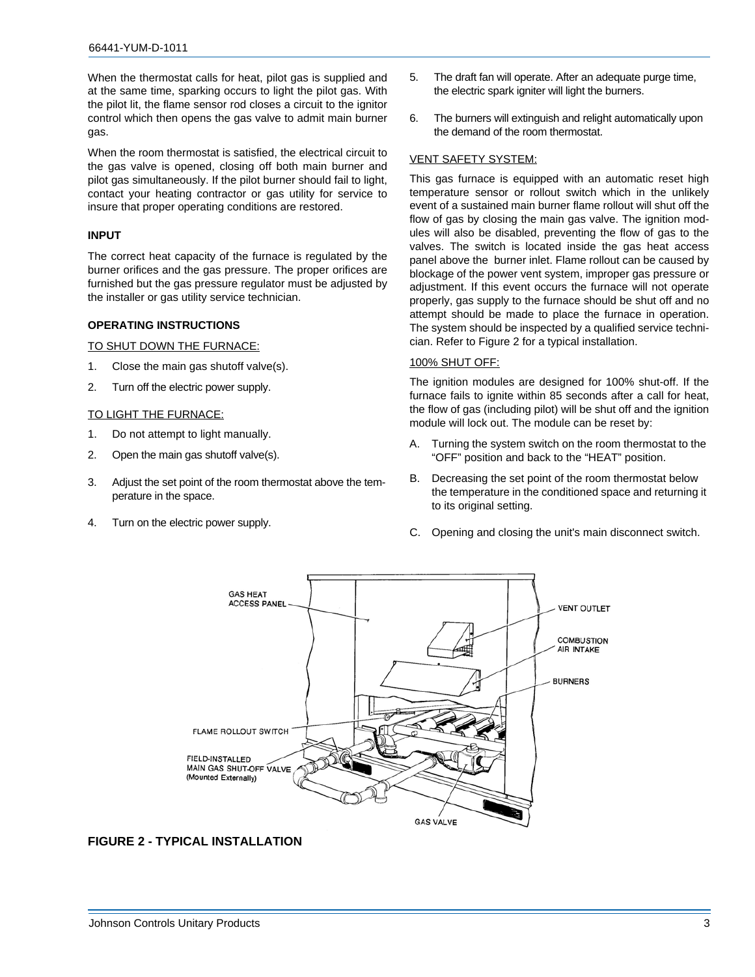When the thermostat calls for heat, pilot gas is supplied and at the same time, sparking occurs to light the pilot gas. With the pilot lit, the flame sensor rod closes a circuit to the ignitor control which then opens the gas valve to admit main burner gas.

When the room thermostat is satisfied, the electrical circuit to the gas valve is opened, closing off both main burner and pilot gas simultaneously. If the pilot burner should fail to light, contact your heating contractor or gas utility for service to insure that proper operating conditions are restored.

#### <span id="page-2-0"></span>**INPUT**

The correct heat capacity of the furnace is regulated by the burner orifices and the gas pressure. The proper orifices are furnished but the gas pressure regulator must be adjusted by the installer or gas utility service technician.

#### <span id="page-2-1"></span>**OPERATING INSTRUCTIONS**

<span id="page-2-2"></span>TO SHUT DOWN THE FURNACE:

- 1. Close the main gas shutoff valve(s).
- 2. Turn off the electric power supply.

#### <span id="page-2-3"></span>TO LIGHT THE FURNACE:

- 1. Do not attempt to light manually.
- 2. Open the main gas shutoff valve(s).
- 3. Adjust the set point of the room thermostat above the temperature in the space.
- 4. Turn on the electric power supply.
- 5. The draft fan will operate. After an adequate purge time, the electric spark igniter will light the burners.
- 6. The burners will extinguish and relight automatically upon the demand of the room thermostat.

#### <span id="page-2-4"></span>VENT SAFETY SYSTEM:

This gas furnace is equipped with an automatic reset high temperature sensor or rollout switch which in the unlikely event of a sustained main burner flame rollout will shut off the flow of gas by closing the main gas valve. The ignition modules will also be disabled, preventing the flow of gas to the valves. The switch is located inside the gas heat access panel above the burner inlet. Flame rollout can be caused by blockage of the power vent system, improper gas pressure or adjustment. If this event occurs the furnace will not operate properly, gas supply to the furnace should be shut off and no attempt should be made to place the furnace in operation. The system should be inspected by a qualified service technician. Refer to Figure 2 for a typical installation.

#### <span id="page-2-5"></span>100% SHUT OFF:

The ignition modules are designed for 100% shut-off. If the furnace fails to ignite within 85 seconds after a call for heat, the flow of gas (including pilot) will be shut off and the ignition module will lock out. The module can be reset by:

- A. Turning the system switch on the room thermostat to the "OFF" position and back to the "HEAT" position.
- B. Decreasing the set point of the room thermostat below the temperature in the conditioned space and returning it to its original setting.
- C. Opening and closing the unit's main disconnect switch.



#### **FIGURE 2 - TYPICAL INSTALLATION**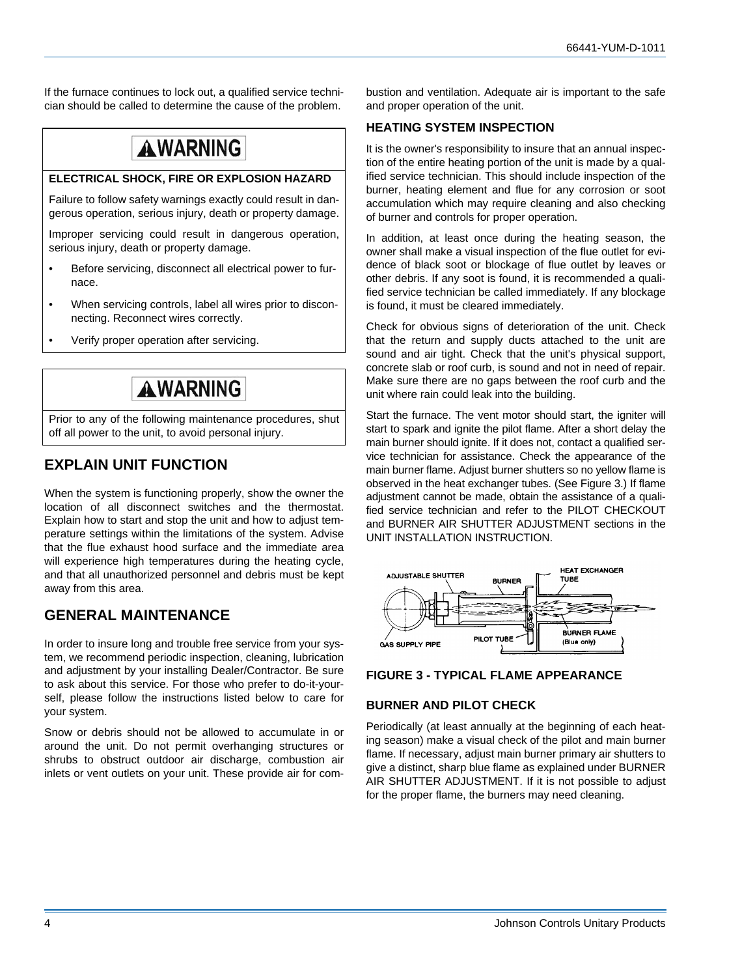If the furnace continues to lock out, a qualified service technician should be called to determine the cause of the problem.

## **AWARNING**

#### **ELECTRICAL SHOCK, FIRE OR EXPLOSION HAZARD**

Failure to follow safety warnings exactly could result in dangerous operation, serious injury, death or property damage.

Improper servicing could result in dangerous operation, serious injury, death or property damage.

- Before servicing, disconnect all electrical power to furnace.
- When servicing controls, label all wires prior to disconnecting. Reconnect wires correctly.
- Verify proper operation after servicing.

### **AWARNING**

Prior to any of the following maintenance procedures, shut off all power to the unit, to avoid personal injury.

### <span id="page-3-0"></span>**EXPLAIN UNIT FUNCTION**

When the system is functioning properly, show the owner the location of all disconnect switches and the thermostat. Explain how to start and stop the unit and how to adjust temperature settings within the limitations of the system. Advise that the flue exhaust hood surface and the immediate area will experience high temperatures during the heating cycle, and that all unauthorized personnel and debris must be kept away from this area.

### <span id="page-3-1"></span>**GENERAL MAINTENANCE**

In order to insure long and trouble free service from your system, we recommend periodic inspection, cleaning, lubrication and adjustment by your installing Dealer/Contractor. Be sure to ask about this service. For those who prefer to do-it-yourself, please follow the instructions listed below to care for your system.

Snow or debris should not be allowed to accumulate in or around the unit. Do not permit overhanging structures or shrubs to obstruct outdoor air discharge, combustion air inlets or vent outlets on your unit. These provide air for combustion and ventilation. Adequate air is important to the safe and proper operation of the unit.

#### <span id="page-3-2"></span>**HEATING SYSTEM INSPECTION**

It is the owner's responsibility to insure that an annual inspection of the entire heating portion of the unit is made by a qualified service technician. This should include inspection of the burner, heating element and flue for any corrosion or soot accumulation which may require cleaning and also checking of burner and controls for proper operation.

In addition, at least once during the heating season, the owner shall make a visual inspection of the flue outlet for evidence of black soot or blockage of flue outlet by leaves or other debris. If any soot is found, it is recommended a qualified service technician be called immediately. If any blockage is found, it must be cleared immediately.

Check for obvious signs of deterioration of the unit. Check that the return and supply ducts attached to the unit are sound and air tight. Check that the unit's physical support, concrete slab or roof curb, is sound and not in need of repair. Make sure there are no gaps between the roof curb and the unit where rain could leak into the building.

Start the furnace. The vent motor should start, the igniter will start to spark and ignite the pilot flame. After a short delay the main burner should ignite. If it does not, contact a qualified service technician for assistance. Check the appearance of the main burner flame. Adjust burner shutters so no yellow flame is observed in the heat exchanger tubes. (See Figure 3.) If flame adjustment cannot be made, obtain the assistance of a qualified service technician and refer to the PILOT CHECKOUT and BURNER AIR SHUTTER ADJUSTMENT sections in the UNIT INSTALLATION INSTRUCTION.



#### **FIGURE 3 - TYPICAL FLAME APPEARANCE**

#### <span id="page-3-3"></span>**BURNER AND PILOT CHECK**

Periodically (at least annually at the beginning of each heating season) make a visual check of the pilot and main burner flame. If necessary, adjust main burner primary air shutters to give a distinct, sharp blue flame as explained under BURNER AIR SHUTTER ADJUSTMENT. If it is not possible to adjust for the proper flame, the burners may need cleaning.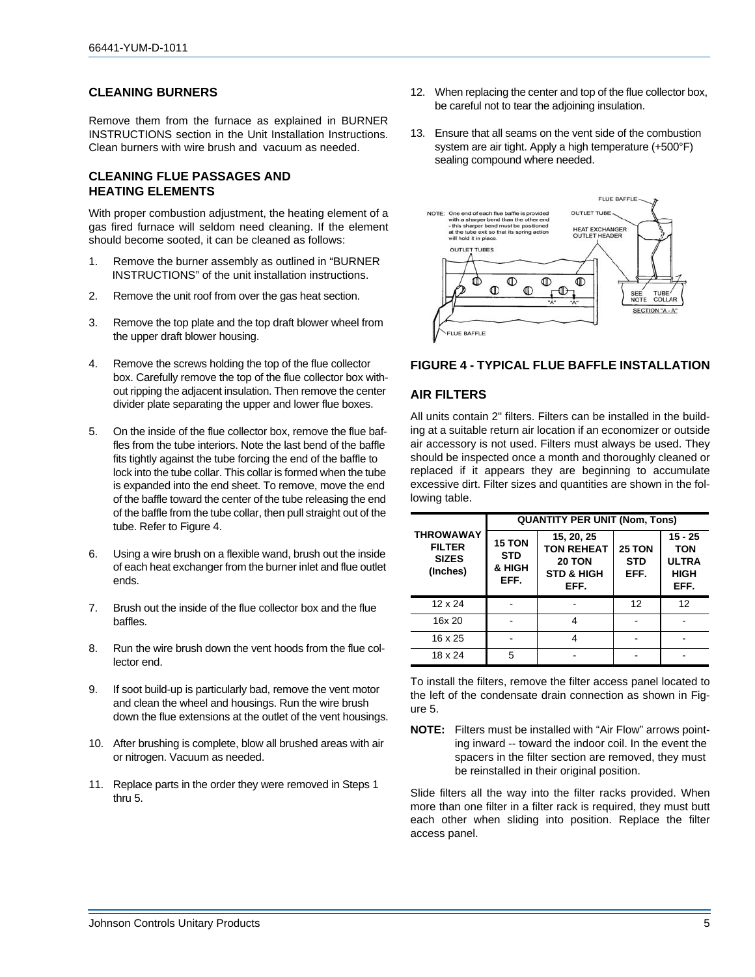#### <span id="page-4-0"></span>**CLEANING BURNERS**

Remove them from the furnace as explained in BURNER INSTRUCTIONS section in the Unit Installation Instructions. Clean burners with wire brush and vacuum as needed.

#### <span id="page-4-1"></span>**CLEANING FLUE PASSAGES AND HEATING ELEMENTS**

With proper combustion adjustment, the heating element of a gas fired furnace will seldom need cleaning. If the element should become sooted, it can be cleaned as follows:

- 1. Remove the burner assembly as outlined in "BURNER INSTRUCTIONS" of the unit installation instructions.
- 2. Remove the unit roof from over the gas heat section.
- 3. Remove the top plate and the top draft blower wheel from the upper draft blower housing.
- 4. Remove the screws holding the top of the flue collector box. Carefully remove the top of the flue collector box without ripping the adjacent insulation. Then remove the center divider plate separating the upper and lower flue boxes.
- 5. On the inside of the flue collector box, remove the flue baffles from the tube interiors. Note the last bend of the baffle fits tightly against the tube forcing the end of the baffle to lock into the tube collar. This collar is formed when the tube is expanded into the end sheet. To remove, move the end of the baffle toward the center of the tube releasing the end of the baffle from the tube collar, then pull straight out of the tube. Refer to Figure 4.
- 6. Using a wire brush on a flexible wand, brush out the inside of each heat exchanger from the burner inlet and flue outlet ends.
- 7. Brush out the inside of the flue collector box and the flue baffles.
- 8. Run the wire brush down the vent hoods from the flue collector end.
- 9. If soot build-up is particularly bad, remove the vent motor and clean the wheel and housings. Run the wire brush down the flue extensions at the outlet of the vent housings.
- 10. After brushing is complete, blow all brushed areas with air or nitrogen. Vacuum as needed.
- 11. Replace parts in the order they were removed in Steps 1 thru 5.
- 12. When replacing the center and top of the flue collector box, be careful not to tear the adjoining insulation.
- 13. Ensure that all seams on the vent side of the combustion system are air tight. Apply a high temperature (+500°F) sealing compound where needed.



#### **FIGURE 4 - TYPICAL FLUE BAFFLE INSTALLATION**

#### <span id="page-4-2"></span>**AIR FILTERS**

All units contain 2" filters. Filters can be installed in the building at a suitable return air location if an economizer or outside air accessory is not used. Filters must always be used. They should be inspected once a month and thoroughly cleaned or replaced if it appears they are beginning to accumulate excessive dirt. Filter sizes and quantities are shown in the following table.

|                                                               | <b>QUANTITY PER UNIT (Nom, Tons)</b>          |                                                                                   |                              |                                                                |  |
|---------------------------------------------------------------|-----------------------------------------------|-----------------------------------------------------------------------------------|------------------------------|----------------------------------------------------------------|--|
| <b>THROWAWAY</b><br><b>FILTER</b><br><b>SIZES</b><br>(Inches) | <b>15 TON</b><br><b>STD</b><br>& HIGH<br>EFF. | 15, 20, 25<br><b>TON REHEAT</b><br><b>20 TON</b><br><b>STD &amp; HIGH</b><br>EFF. | 25 TON<br><b>STD</b><br>EFF. | $15 - 25$<br><b>TON</b><br><b>ULTRA</b><br><b>HIGH</b><br>EFF. |  |
| 12 x 24                                                       |                                               |                                                                                   | 12                           | 12                                                             |  |
| 16x 20                                                        |                                               |                                                                                   |                              |                                                                |  |
| 16 x 25                                                       |                                               |                                                                                   |                              |                                                                |  |
| 18 x 24                                                       | 5                                             |                                                                                   |                              |                                                                |  |

To install the filters, remove the filter access panel located to the left of the condensate drain connection as shown in Figure 5.

**NOTE:** Filters must be installed with "Air Flow" arrows pointing inward -- toward the indoor coil. In the event the spacers in the filter section are removed, they must be reinstalled in their original position.

Slide filters all the way into the filter racks provided. When more than one filter in a filter rack is required, they must butt each other when sliding into position. Replace the filter access panel.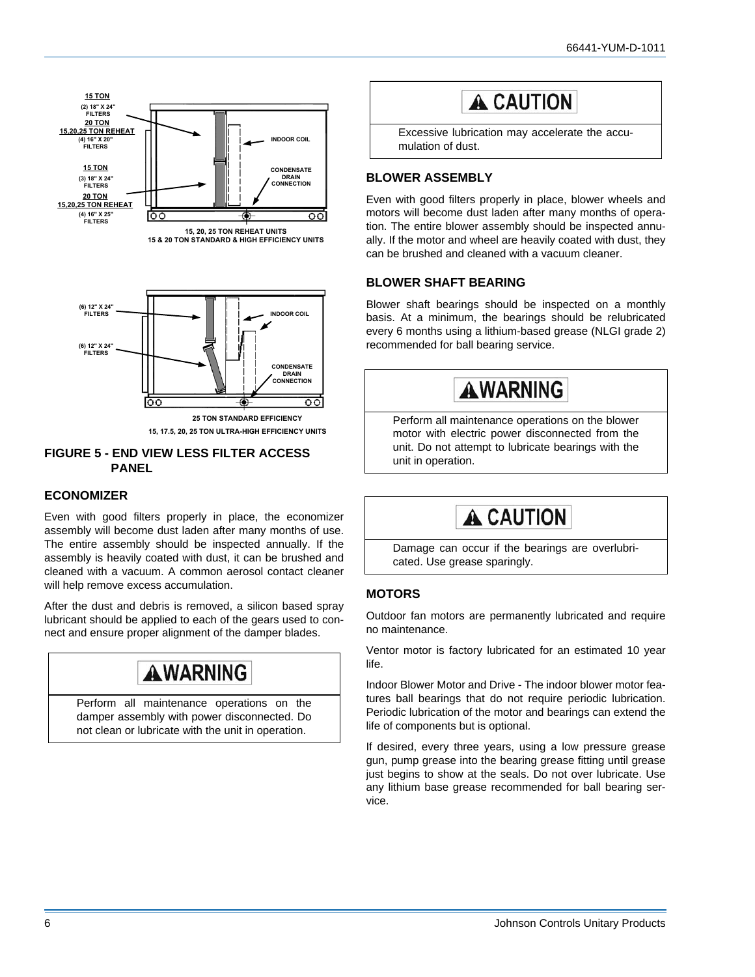





**15, 17.5, 20, 25 TON ULTRA-HIGH EFFICIENCY UNITS**

#### **FIGURE 5 - END VIEW LESS FILTER ACCESS PANEL**

#### <span id="page-5-0"></span>**ECONOMIZER**

Even with good filters properly in place, the economizer assembly will become dust laden after many months of use. The entire assembly should be inspected annually. If the assembly is heavily coated with dust, it can be brushed and cleaned with a vacuum. A common aerosol contact cleaner will help remove excess accumulation.

After the dust and debris is removed, a silicon based spray lubricant should be applied to each of the gears used to connect and ensure proper alignment of the damper blades.

# **AWARNING**

Perform all maintenance operations on the damper assembly with power disconnected. Do not clean or lubricate with the unit in operation.

# **A CAUTION**

Excessive lubrication may accelerate the accumulation of dust.

#### <span id="page-5-1"></span>**BLOWER ASSEMBLY**

Even with good filters properly in place, blower wheels and motors will become dust laden after many months of operation. The entire blower assembly should be inspected annually. If the motor and wheel are heavily coated with dust, they can be brushed and cleaned with a vacuum cleaner.

#### <span id="page-5-2"></span>**BLOWER SHAFT BEARING**

Blower shaft bearings should be inspected on a monthly basis. At a minimum, the bearings should be relubricated every 6 months using a lithium-based grease (NLGI grade 2) recommended for ball bearing service.



Perform all maintenance operations on the blower motor with electric power disconnected from the unit. Do not attempt to lubricate bearings with the unit in operation.

# A CAUTION

Damage can occur if the bearings are overlubricated. Use grease sparingly.

#### <span id="page-5-3"></span>**MOTORS**

Outdoor fan motors are permanently lubricated and require no maintenance.

Ventor motor is factory lubricated for an estimated 10 year life.

Indoor Blower Motor and Drive - The indoor blower motor features ball bearings that do not require periodic lubrication. Periodic lubrication of the motor and bearings can extend the life of components but is optional.

If desired, every three years, using a low pressure grease gun, pump grease into the bearing grease fitting until grease just begins to show at the seals. Do not over lubricate. Use any lithium base grease recommended for ball bearing service.